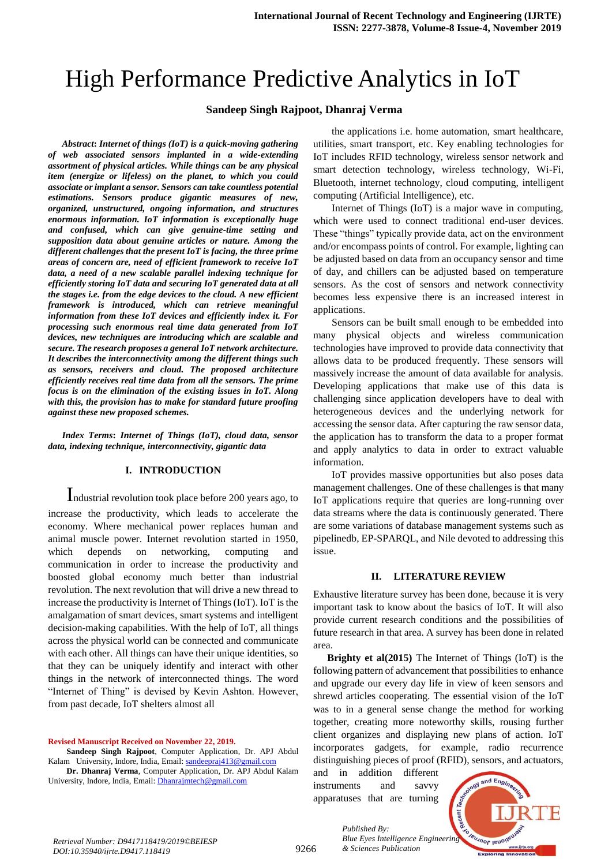# High Performance Predictive Analytics in IoT

## **Sandeep Singh Rajpoot, Dhanraj Verma**

*Abstract***:** *Internet of things (IoT) is a quick-moving gathering of web associated sensors implanted in a wide-extending assortment of physical articles. While things can be any physical item (energize or lifeless) on the planet, to which you could associate or implant a sensor. Sensors can take countless potential estimations. Sensors produce gigantic measures of new, organized, unstructured, ongoing information, and structures enormous information. IoT information is exceptionally huge and confused, which can give genuine-time setting and supposition data about genuine articles or nature. Among the different challenges that the present IoT is facing, the three prime areas of concern are, need of efficient framework to receive IoT data, a need of a new scalable parallel indexing technique for efficiently storing IoT data and securing IoT generated data at all the stages i.e. from the edge devices to the cloud. A new efficient framework is introduced, which can retrieve meaningful information from these IoT devices and efficiently index it. For processing such enormous real time data generated from IoT devices, new techniques are introducing which are scalable and secure. The research proposes a general IoT network architecture. It describes the interconnectivity among the different things such as sensors, receivers and cloud. The proposed architecture efficiently receives real time data from all the sensors. The prime focus is on the elimination of the existing issues in IoT. Along with this, the provision has to make for standard future proofing against these new proposed schemes.*

*Index Terms***:** *Internet of Things (IoT), cloud data, sensor data, indexing technique, interconnectivity, gigantic data*

## **I. INTRODUCTION**

Industrial revolution took place before 200 years ago, to increase the productivity, which leads to accelerate the economy. Where mechanical power replaces human and animal muscle power. Internet revolution started in 1950, which depends on networking, computing and communication in order to increase the productivity and boosted global economy much better than industrial revolution. The next revolution that will drive a new thread to increase the productivity is Internet of Things (IoT). IoT is the amalgamation of smart devices, smart systems and intelligent decision-making capabilities. With the help of IoT, all things across the physical world can be connected and communicate with each other. All things can have their unique identities, so that they can be uniquely identify and interact with other things in the network of interconnected things. The word "Internet of Thing" is devised by Kevin Ashton. However, from past decade, IoT shelters almost all

#### **Revised Manuscript Received on November 22, 2019.**

**Sandeep Singh Rajpoot**, Computer Application, Dr. APJ Abdul Kalam University, Indore, India, Email[: sandeepraj413@gmail.com](mailto:sandeepraj413@gmail.com)

**Dr. Dhanraj Verma**, Computer Application, Dr. APJ Abdul Kalam University, Indore, India, Email: *Dhanrajmtech@gmail.com* 

the applications i.e. home automation, smart healthcare, utilities, smart transport, etc. Key enabling technologies for IoT includes RFID technology, wireless sensor network and smart detection technology, wireless technology, Wi-Fi, Bluetooth, internet technology, cloud computing, intelligent computing (Artificial Intelligence), etc.

Internet of Things (IoT) is a major wave in computing, which were used to connect traditional end-user devices. These "things" typically provide data, act on the environment and/or encompass points of control. For example, lighting can be adjusted based on data from an occupancy sensor and time of day, and chillers can be adjusted based on temperature sensors. As the cost of sensors and network connectivity becomes less expensive there is an increased interest in applications.

Sensors can be built small enough to be embedded into many physical objects and wireless communication technologies have improved to provide data connectivity that allows data to be produced frequently. These sensors will massively increase the amount of data available for analysis. Developing applications that make use of this data is challenging since application developers have to deal with heterogeneous devices and the underlying network for accessing the sensor data. After capturing the raw sensor data, the application has to transform the data to a proper format and apply analytics to data in order to extract valuable information.

IoT provides massive opportunities but also poses data management challenges. One of these challenges is that many IoT applications require that queries are long-running over data streams where the data is continuously generated. There are some variations of database management systems such as pipelinedb, EP-SPARQL, and Nile devoted to addressing this issue.

#### **II. LITERATURE REVIEW**

Exhaustive literature survey has been done, because it is very important task to know about the basics of IoT. It will also provide current research conditions and the possibilities of future research in that area. A survey has been done in related area.

**Brighty et al(2015)** The Internet of Things (IoT) is the following pattern of advancement that possibilities to enhance and upgrade our every day life in view of keen sensors and shrewd articles cooperating. The essential vision of the IoT was to in a general sense change the method for working together, creating more noteworthy skills, rousing further client organizes and displaying new plans of action. IoT incorporates gadgets, for example, radio recurrence distinguishing pieces of proof (RFID), sensors, and actuators,

and in addition different instruments and savvy apparatuses that are turning

*& Sciences Publication* 

*Published By:*



9266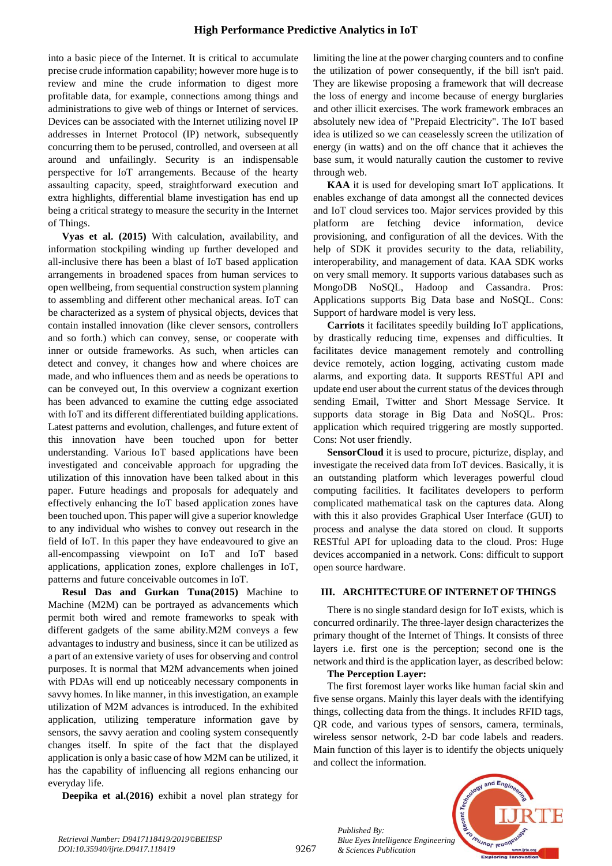## **High Performance Predictive Analytics in IoT**

into a basic piece of the Internet. It is critical to accumulate precise crude information capability; however more huge is to review and mine the crude information to digest more profitable data, for example, connections among things and administrations to give web of things or Internet of services. Devices can be associated with the Internet utilizing novel IP addresses in Internet Protocol (IP) network, subsequently concurring them to be perused, controlled, and overseen at all around and unfailingly. Security is an indispensable perspective for IoT arrangements. Because of the hearty assaulting capacity, speed, straightforward execution and extra highlights, differential blame investigation has end up being a critical strategy to measure the security in the Internet of Things.

**Vyas et al. (2015)** With calculation, availability, and information stockpiling winding up further developed and all-inclusive there has been a blast of IoT based application arrangements in broadened spaces from human services to open wellbeing, from sequential construction system planning to assembling and different other mechanical areas. IoT can be characterized as a system of physical objects, devices that contain installed innovation (like clever sensors, controllers and so forth.) which can convey, sense, or cooperate with inner or outside frameworks. As such, when articles can detect and convey, it changes how and where choices are made, and who influences them and as needs be operations to can be conveyed out, In this overview a cognizant exertion has been advanced to examine the cutting edge associated with IoT and its different differentiated building applications. Latest patterns and evolution, challenges, and future extent of this innovation have been touched upon for better understanding. Various IoT based applications have been investigated and conceivable approach for upgrading the utilization of this innovation have been talked about in this paper. Future headings and proposals for adequately and effectively enhancing the IoT based application zones have been touched upon. This paper will give a superior knowledge to any individual who wishes to convey out research in the field of IoT. In this paper they have endeavoured to give an all-encompassing viewpoint on IoT and IoT based applications, application zones, explore challenges in IoT, patterns and future conceivable outcomes in IoT.

**Resul Das and Gurkan Tuna(2015)** Machine to Machine (M2M) can be portrayed as advancements which permit both wired and remote frameworks to speak with different gadgets of the same ability.M2M conveys a few advantages to industry and business, since it can be utilized as a part of an extensive variety of uses for observing and control purposes. It is normal that M2M advancements when joined with PDAs will end up noticeably necessary components in savvy homes. In like manner, in this investigation, an example utilization of M2M advances is introduced. In the exhibited application, utilizing temperature information gave by sensors, the savvy aeration and cooling system consequently changes itself. In spite of the fact that the displayed application is only a basic case of how M2M can be utilized, it has the capability of influencing all regions enhancing our everyday life.

**Deepika et al.(2016)** exhibit a novel plan strategy for

limiting the line at the power charging counters and to confine the utilization of power consequently, if the bill isn't paid. They are likewise proposing a framework that will decrease the loss of energy and income because of energy burglaries and other illicit exercises. The work framework embraces an absolutely new idea of "Prepaid Electricity". The IoT based idea is utilized so we can ceaselessly screen the utilization of energy (in watts) and on the off chance that it achieves the base sum, it would naturally caution the customer to revive through web.

**KAA** it is used for developing smart IoT applications. It enables exchange of data amongst all the connected devices and IoT cloud services too. Major services provided by this platform are fetching device information, device provisioning, and configuration of all the devices. With the help of SDK it provides security to the data, reliability, interoperability, and management of data. KAA SDK works on very small memory. It supports various databases such as MongoDB NoSQL, Hadoop and Cassandra. Pros: Applications supports Big Data base and NoSQL. Cons: Support of hardware model is very less.

**Carriots** it facilitates speedily building IoT applications, by drastically reducing time, expenses and difficulties. It facilitates device management remotely and controlling device remotely, action logging, activating custom made alarms, and exporting data. It supports RESTful API and update end user about the current status of the devices through sending Email, Twitter and Short Message Service. It supports data storage in Big Data and NoSQL. Pros: application which required triggering are mostly supported. Cons: Not user friendly.

**SensorCloud** it is used to procure, picturize, display, and investigate the received data from IoT devices. Basically, it is an outstanding platform which leverages powerful cloud computing facilities. It facilitates developers to perform complicated mathematical task on the captures data. Along with this it also provides Graphical User Interface (GUI) to process and analyse the data stored on cloud. It supports RESTful API for uploading data to the cloud. Pros: Huge devices accompanied in a network. Cons: difficult to support open source hardware.

## **III. ARCHITECTURE OF INTERNET OF THINGS**

There is no single standard design for IoT exists, which is concurred ordinarily. The three-layer design characterizes the primary thought of the Internet of Things. It consists of three layers i.e. first one is the perception; second one is the network and third is the application layer, as described below:

#### **The Perception Layer:**

*Published By:*

*& Sciences Publication* 

The first foremost layer works like human facial skin and five sense organs. Mainly this layer deals with the identifying things, collecting data from the things. It includes RFID tags, QR code, and various types of sensors, camera, terminals, wireless sensor network, 2-D bar code labels and readers. Main function of this layer is to identify the objects uniquely and collect the information.



*Retrieval Number: D9417118419/2019©BEIESP DOI:10.35940/ijrte.D9417.118419*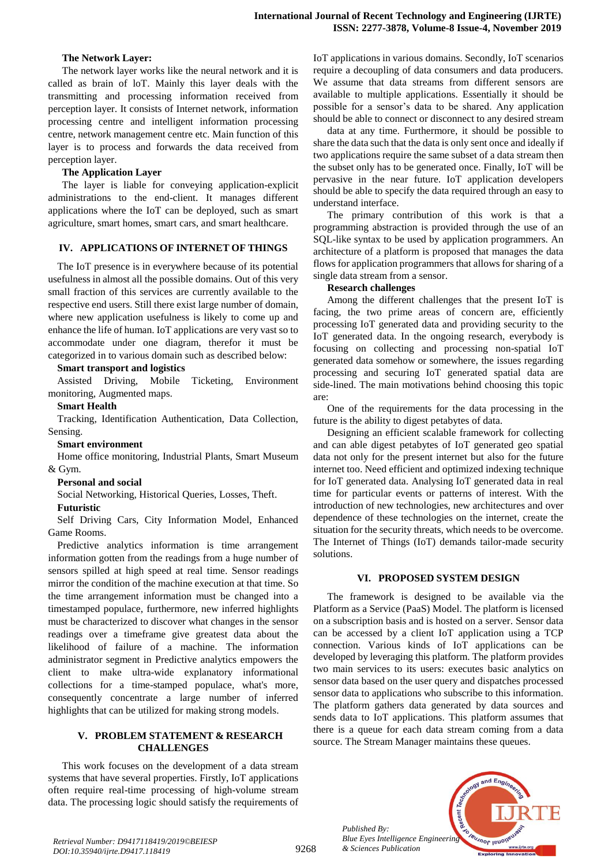## **The Network Layer:**

The network layer works like the neural network and it is called as brain of loT. Mainly this layer deals with the transmitting and processing information received from perception layer. It consists of Internet network, information processing centre and intelligent information processing centre, network management centre etc. Main function of this layer is to process and forwards the data received from perception layer.

## **The Application Layer**

The layer is liable for conveying application-explicit administrations to the end-client. It manages different applications where the IoT can be deployed, such as smart agriculture, smart homes, smart cars, and smart healthcare.

#### **IV. APPLICATIONS OF INTERNET OF THINGS**

The IoT presence is in everywhere because of its potential usefulness in almost all the possible domains. Out of this very small fraction of this services are currently available to the respective end users. Still there exist large number of domain, where new application usefulness is likely to come up and enhance the life of human. IoT applications are very vast so to accommodate under one diagram, therefor it must be categorized in to various domain such as described below:

## **Smart transport and logistics**

Assisted Driving, Mobile Ticketing, Environment monitoring, Augmented maps.

## **Smart Health**

Tracking, Identification Authentication, Data Collection, Sensing.

#### **Smart environment**

Home office monitoring, Industrial Plants, Smart Museum & Gym.

#### **Personal and social**

Social Networking, Historical Queries, Losses, Theft.

#### **Futuristic**

Self Driving Cars, City Information Model, Enhanced Game Rooms.

Predictive analytics information is time arrangement information gotten from the readings from a huge number of sensors spilled at high speed at real time. Sensor readings mirror the condition of the machine execution at that time. So the time arrangement information must be changed into a timestamped populace, furthermore, new inferred highlights must be characterized to discover what changes in the sensor readings over a timeframe give greatest data about the likelihood of failure of a machine. The information administrator segment in Predictive analytics empowers the client to make ultra-wide explanatory informational collections for a time-stamped populace, what's more, consequently concentrate a large number of inferred highlights that can be utilized for making strong models.

#### **V. PROBLEM STATEMENT & RESEARCH CHALLENGES**

This work focuses on the development of a data stream systems that have several properties. Firstly, IoT applications often require real-time processing of high-volume stream data. The processing logic should satisfy the requirements of IoT applications in various domains. Secondly, IoT scenarios require a decoupling of data consumers and data producers. We assume that data streams from different sensors are available to multiple applications. Essentially it should be possible for a sensor"s data to be shared. Any application should be able to connect or disconnect to any desired stream

data at any time. Furthermore, it should be possible to share the data such that the data is only sent once and ideally if two applications require the same subset of a data stream then the subset only has to be generated once. Finally, IoT will be pervasive in the near future. IoT application developers should be able to specify the data required through an easy to understand interface.

The primary contribution of this work is that a programming abstraction is provided through the use of an SQL-like syntax to be used by application programmers. An architecture of a platform is proposed that manages the data flows for application programmers that allows for sharing of a single data stream from a sensor.

#### **Research challenges**

Among the different challenges that the present IoT is facing, the two prime areas of concern are, efficiently processing IoT generated data and providing security to the IoT generated data. In the ongoing research, everybody is focusing on collecting and processing non-spatial IoT generated data somehow or somewhere, the issues regarding processing and securing IoT generated spatial data are side-lined. The main motivations behind choosing this topic are:

One of the requirements for the data processing in the future is the ability to digest petabytes of data.

Designing an efficient scalable framework for collecting and can able digest petabytes of IoT generated geo spatial data not only for the present internet but also for the future internet too. Need efficient and optimized indexing technique for IoT generated data. Analysing IoT generated data in real time for particular events or patterns of interest. With the introduction of new technologies, new architectures and over dependence of these technologies on the internet, create the situation for the security threats, which needs to be overcome. The Internet of Things (IoT) demands tailor-made security solutions.

## **VI. PROPOSED SYSTEM DESIGN**

The framework is designed to be available via the Platform as a Service (PaaS) Model. The platform is licensed on a subscription basis and is hosted on a server. Sensor data can be accessed by a client IoT application using a TCP connection. Various kinds of IoT applications can be developed by leveraging this platform. The platform provides two main services to its users: executes basic analytics on sensor data based on the user query and dispatches processed sensor data to applications who subscribe to this information. The platform gathers data generated by data sources and sends data to IoT applications. This platform assumes that there is a queue for each data stream coming from a data source. The Stream Manager maintains these queues.



*Published By:*

*& Sciences Publication*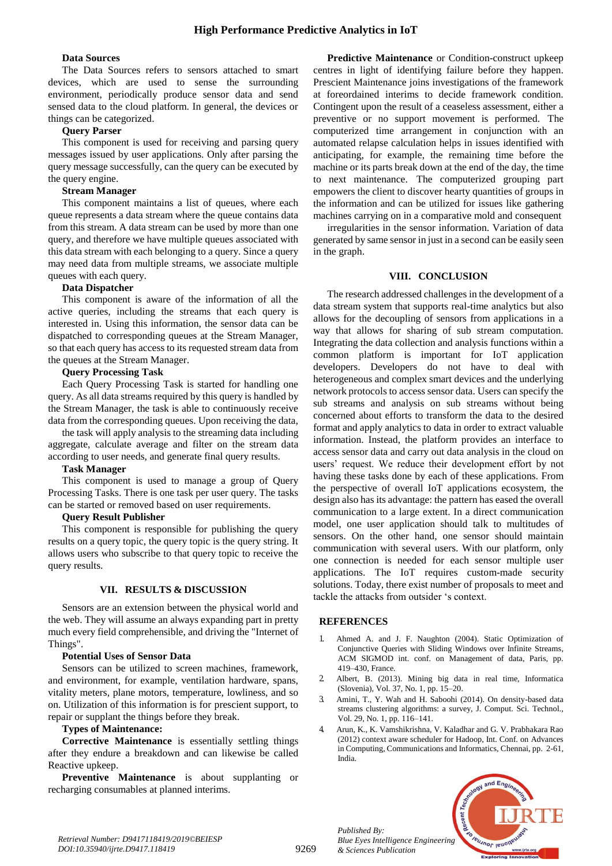## **Data Sources**

The Data Sources refers to sensors attached to smart devices, which are used to sense the surrounding environment, periodically produce sensor data and send sensed data to the cloud platform. In general, the devices or things can be categorized.

## **Query Parser**

This component is used for receiving and parsing query messages issued by user applications. Only after parsing the query message successfully, can the query can be executed by the query engine.

## **Stream Manager**

This component maintains a list of queues, where each queue represents a data stream where the queue contains data from this stream. A data stream can be used by more than one query, and therefore we have multiple queues associated with this data stream with each belonging to a query. Since a query may need data from multiple streams, we associate multiple queues with each query.

## **Data Dispatcher**

This component is aware of the information of all the active queries, including the streams that each query is interested in. Using this information, the sensor data can be dispatched to corresponding queues at the Stream Manager, so that each query has access to its requested stream data from the queues at the Stream Manager.

## **Query Processing Task**

Each Query Processing Task is started for handling one query. As all data streams required by this query is handled by the Stream Manager, the task is able to continuously receive data from the corresponding queues. Upon receiving the data,

the task will apply analysis to the streaming data including aggregate, calculate average and filter on the stream data according to user needs, and generate final query results.

## **Task Manager**

This component is used to manage a group of Query Processing Tasks. There is one task per user query. The tasks can be started or removed based on user requirements.

## **Query Result Publisher**

This component is responsible for publishing the query results on a query topic, the query topic is the query string. It allows users who subscribe to that query topic to receive the query results.

## **VII. RESULTS & DISCUSSION**

Sensors are an extension between the physical world and the web. They will assume an always expanding part in pretty much every field comprehensible, and driving the "Internet of Things".

# **Potential Uses of Sensor Data**

Sensors can be utilized to screen machines, framework, and environment, for example, ventilation hardware, spans, vitality meters, plane motors, temperature, lowliness, and so on. Utilization of this information is for prescient support, to repair or supplant the things before they break.

## **Types of Maintenance:**

**Corrective Maintenance** is essentially settling things after they endure a breakdown and can likewise be called Reactive upkeep.

**Preventive Maintenance** is about supplanting or recharging consumables at planned interims.

**Predictive Maintenance** or Condition-construct upkeep centres in light of identifying failure before they happen. Prescient Maintenance joins investigations of the framework at foreordained interims to decide framework condition. Contingent upon the result of a ceaseless assessment, either a preventive or no support movement is performed. The computerized time arrangement in conjunction with an automated relapse calculation helps in issues identified with anticipating, for example, the remaining time before the machine or its parts break down at the end of the day, the time to next maintenance. The computerized grouping part empowers the client to discover hearty quantities of groups in the information and can be utilized for issues like gathering machines carrying on in a comparative mold and consequent

irregularities in the sensor information. Variation of data generated by same sensor in just in a second can be easily seen in the graph.

## **VIII. CONCLUSION**

The research addressed challenges in the development of a data stream system that supports real-time analytics but also allows for the decoupling of sensors from applications in a way that allows for sharing of sub stream computation. Integrating the data collection and analysis functions within a common platform is important for IoT application developers. Developers do not have to deal with heterogeneous and complex smart devices and the underlying network protocols to access sensor data. Users can specify the sub streams and analysis on sub streams without being concerned about efforts to transform the data to the desired format and apply analytics to data in order to extract valuable information. Instead, the platform provides an interface to access sensor data and carry out data analysis in the cloud on users" request. We reduce their development effort by not having these tasks done by each of these applications. From the perspective of overall IoT applications ecosystem, the design also has its advantage: the pattern has eased the overall communication to a large extent. In a direct communication model, one user application should talk to multitudes of sensors. On the other hand, one sensor should maintain communication with several users. With our platform, only one connection is needed for each sensor multiple user applications. The IoT requires custom-made security solutions. Today, there exist number of proposals to meet and tackle the attacks from outsider "s context.

## **REFERENCES**

- 1. Ahmed A. and J. F. Naughton (2004). Static Optimization of Conjunctive Queries with Sliding Windows over Infinite Streams, ACM SIGMOD int. conf. on Management of data, Paris, pp. 419–430, France.
- 2. Albert, B. (2013). Mining big data in real time, Informatica (Slovenia), Vol. 37, No. 1, pp. 15–20.
- 3. Amini, T., Y. Wah and H. Saboohi (2014). On density-based data streams clustering algorithms: a survey, J. Comput. Sci. Technol., Vol. 29, No. 1, pp. 116–141.
- 4. Arun, K., K. Vamshikrishna, V. Kaladhar and G. V. Prabhakara Rao (2012) context aware scheduler for Hadoop, Int. Conf. on Advances in Computing, Communications and Informatics, Chennai, pp. 2-61, India.

*Published By: Blue Eyes Intelligence Engineering & Sciences Publication*